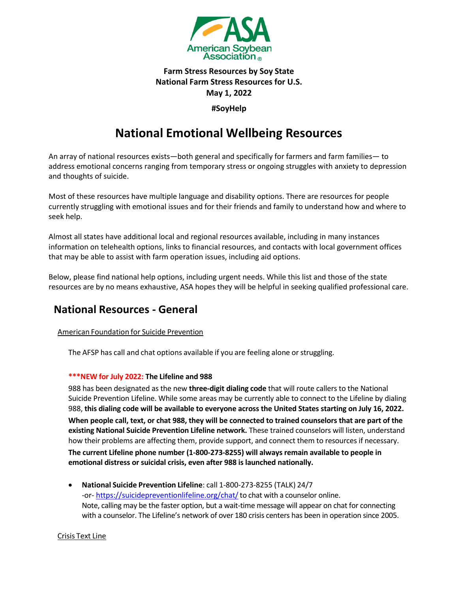

### **Farm Stress Resources by Soy State National Farm Stress Resources for U.S. May 1, 2022**

**#SoyHelp**

# **National Emotional Wellbeing Resources**

An array of national resources exists—both general and specifically for farmers and farm families— to address emotional concerns ranging from temporary stress or ongoing struggles with anxiety to depression and thoughts of suicide.

Most of these resources have multiple language and disability options. There are resources for people currently struggling with emotional issues and for their friends and family to understand how and where to seek help.

Almost all states have additional local and regional resources available, including in many instances information on telehealth options, links to financial resources, and contacts with local government offices that may be able to assist with farm operation issues, including aid options.

Below, please find national help options, including urgent needs. While this list and those of the state resources are by no means exhaustive, ASA hopes they will be helpful in seeking qualified professional care.

### **National Resources - General**

#### American Foundation for Suicide Prevention

The AFSP has call and chat options available if you are feeling alone orstruggling.

#### **\*\*\*NEW for July 2022: The Lifeline and 988**

988 has been designated as the new **three-digit dialing code** that will route callers to the National Suicide Prevention Lifeline. While some areas may be currently able to connect to the Lifeline by dialing 988, **this dialing code will be available to everyone across the United States starting on July 16, 2022.**

**When people call, text, or chat 988, they will be connected to trained counselors that are part of the existing National Suicide Prevention Lifeline network.** These trained counselors will listen, understand how their problems are affecting them, provide support, and connect them to resources if necessary.

**The current Lifeline phone number (1-800-273-8255) will always remain available to people in emotional distress or suicidal crisis, even after 988 is launched nationally.**

• **National Suicide Prevention Lifeline**: call 1-800-273-8255 (TALK) 24/7 -or- https://suicidepreventionlifeline.org/chat/ to chat with a counselor online. Note, calling may be the faster option, but a wait-time message will appear on chat for connecting with a counselor. The Lifeline's network of over 180 crisis centers has been in operation since 2005.

#### Crisis Text Line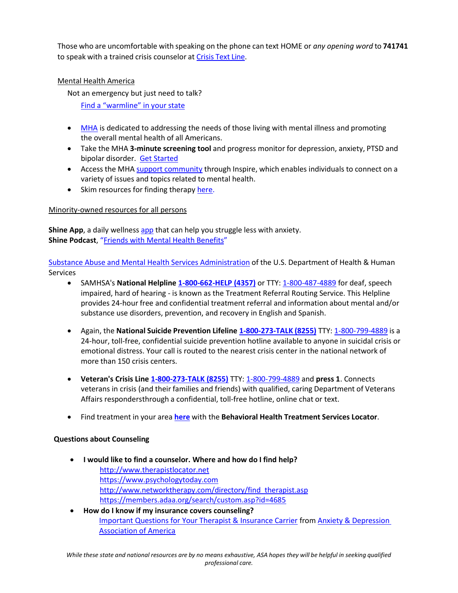Those who are uncomfortable with speaking on the phone can text HOME or *any opening word* to **741741**  to speak with a trained crisis counselor at Crisis Text Line.

#### Mental Health America

Not an emergency but just need to talk? [Find a "warmline" in your state](https://screening.mhanational.org/content/need-talk-someone-warmlines/)

- [MHA](https://www.mhanational.org/) is dedicated to addressing the needs of those living with mental illness and promoting the overall mental health of all Americans.
- Take the MHA **3-minute screening tool** and progress monitor for depression, anxiety, PTSD and bipolar disorder. [Get Started](http://www.mentalhealthamerica.net/mental-health-screening-tools?ref=MHAIndy)
- Access the MHA support [community](https://www.inspire.com/groups/mental-health-america/) through Inspire, which enables individuals to connect on a variety of issues and topics related to mental health.
- Skim resources for finding therapy [here.](https://www.mhanational.org/finding-therapy)

#### Minority-owned resources for all persons

**Shine App**, a daily wellness [app](https://join.shinetext.com/) that can help you struggle less with anxiety. **Shine Podcast**, "[Friends with Mental Health Benefits](https://podcasts.apple.com/us/podcast/friends-with-mental-health-benefits/id1617166621)"

Substance Abuse and Mental Health Services [Administration](https://www.samhsa.gov/) of the U.S. Department of Health & Human Services

- SAMHSA's **National Helpline 1-800-662-HELP (4357)** or TTY: 1-800-487-4889 for deaf, speech impaired, hard of hearing - is known as the Treatment Referral Routing Service. This Helpline provides 24-hour free and confidential treatment referral and information about mental and/or substance use disorders, prevention, and recovery in English and Spanish.
- Again, the **National Suicide Prevention Lifeline 1-800-273-TALK (8255)** TTY: 1-800-799-4889 is a 24-hour, toll-free, confidential suicide prevention hotline available to anyone in suicidal crisis or emotional distress. Your call is routed to the nearest crisis center in the national network of more than 150 crisis centers.
- **Veteran's Crisis Line 1-800-273-TALK (8255)** TTY: 1-800-799-4889 and **press 1**. Connects veterans in crisis (and their families and friends) with qualified, caring Department of Veterans Affairs respondersthrough a confidential, toll-free hotline, online chat or text.
- Find treatment in your area **[here](https://findtreatment.samhsa.gov/)** with the **Behavioral Health Treatment Services Locator**.

#### **Questions about Counseling**

- **I would like to find a counselor. Where and how do I find help?** [http://www.therapistlocator.net](http://www.therapistlocator.net/) [https://www.psychologytoday.com](https://www.psychologytoday.com/) [http://www.networktherapy.com/directory/find\\_therapist.asp](http://www.networktherapy.com/directory/find_therapist.asp) <https://members.adaa.org/search/custom.asp?id=4685>
- **How do I know if my insurance covers counseling?** [Important Questions for Your Therapist & Insurance Carrier](https://adaa.org/sites/default/files/Questions-Therapist-Insurance.pdf) fro[m Anxiety & Depression](https://adaa.org/)  [Association of America](https://adaa.org/)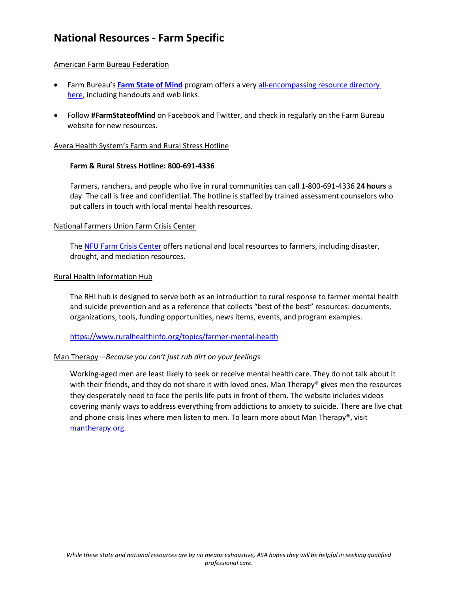## **National Resources - Farm Specific**

#### American Farm Bureau Federation

- Farm Bureau's [Farm State of Mind](https://www.fb.org/programs/rural-resilience/) program offers a very all-encompassing resource directory [here,](https://www.fb.org/land/fsom) including handouts and web links.
- Follow **#FarmStateofMind** on Facebook and Twitter, and check in regularly on the Farm Bureau website for new resources.

#### Avera Health System's Farm and Rural Stress Hotline

#### **Farm & Rural Stress Hotline: 800-691-4336**

Farmers, ranchers, and people who live in rural communities can call 1-800-691-4336 **24 hours** a day. The call is free and confidential. The hotline is staffed by trained assessment counselors who put callers in touch with local mental health resources.

#### National Farmers Union Farm Crisis Center

Th[e NFU Farm Crisis Center](https://farmcrisis.nfu.org/) offers national and local resources to farmers, including disaster, drought, and mediation resources.

#### Rural Health Information Hub

The RHI hub is designed to serve both as an introduction to rural response to farmer mental health and suicide prevention and as a reference that collects "best of the best" resources: documents, organizations, tools, funding opportunities, news items, events, and program examples.

#### <https://www.ruralhealthinfo.org/topics/farmer-mental-health>

#### Man Therapy—*Because you can't just rub dirt on your feelings*

Working-aged men are least likely to seek or receive mental health care. They do not talk about it with their friends, and they do not share it with loved ones. Man Therapy® gives men the resources they desperately need to face the perils life puts in front of them. The website includes videos covering manly ways to address everything from addictions to anxiety to suicide. There are live chat and phone crisis lines where men listen to men. To learn more about Man Therapy®, visit [mantherapy.org.](https://mantherapy.org/)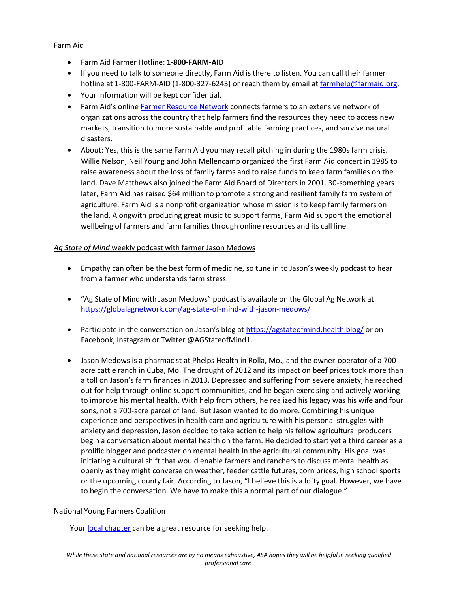#### Farm Aid

- Farm Aid Farmer Hotline: **1-800-FARM-AID**
- If you need to talk to someone directly, Farm Aid is there to listen. You can call their farmer hotline at 1-800-FARM-AID (1-800-327-6243) or reach them by email at [farmhelp@farmaid.org.](mailto:farmhelp@farmaid.org)
- Your information will be kept confidential.
- Farm Aid's online [Farmer Resource Network](https://www.farmaid.org/our-work/resources-for-farmers/) connects farmers to an extensive network of organizations across the country that help farmers find the resources they need to access new markets, transition to more sustainable and profitable farming practices, and survive natural disasters.
- About: Yes, this is the same Farm Aid you may recall pitching in during the 1980s farm crisis. Willie Nelson, Neil Young and John Mellencamp organized the first Farm Aid concert in 1985 to raise awareness about the loss of family farms and to raise funds to keep farm families on the land. Dave Matthews also joined the Farm Aid Board of Directors in 2001. 30-something years later, Farm Aid has raised \$64 million to promote a strong and resilient family farm system of agriculture. Farm Aid is a nonprofit organization whose mission is to keep family farmers on the land. Alongwith producing great music to support farms, Farm Aid support the emotional wellbeing of farmers and farm families through online resources and its call line.

#### *Ag State of Mind* weekly podcast with farmer Jason Medows

- Empathy can often be the best form of medicine, so tune in to Jason's weekly podcast to hear from a farmer who understands farm stress.
- "Ag State of Mind with Jason Medows" podcast is available on the Global Ag Network at <https://globalagnetwork.com/ag-state-of-mind-with-jason-medows/>
- Participate in the conversation on Jason's blog at <https://agstateofmind.health.blog/> or on Facebook, Instagram or Twitter @AGStateofMind1.
- Jason Medows is a pharmacist at Phelps Health in Rolla, Mo., and the owner-operator of a 700 acre cattle ranch in Cuba, Mo. The drought of 2012 and its impact on beef prices took more than a toll on Jason's farm finances in 2013. Depressed and suffering from severe anxiety, he reached out for help through online support communities, and he began exercising and actively working to improve his mental health. With help from others, he realized his legacy was his wife and four sons, not a 700-acre parcel of land. But Jason wanted to do more. Combining his unique experience and perspectives in health care and agriculture with his personal struggles with anxiety and depression, Jason decided to take action to help his fellow agricultural producers begin a conversation about mental health on the farm. He decided to start yet a third career as a prolific blogger and podcaster on mental health in the agricultural community. His goal was initiating a cultural shift that would enable farmers and ranchers to discuss mental health as openly as they might converse on weather, feeder cattle futures, corn prices, high school sports or the upcoming county fair. According to Jason, "I believe this is a lofty goal. However, we have to begin the conversation. We have to make this a normal part of our dialogue."

#### National Young Farmers Coalition

Your [local chapter](https://www.youngfarmers.org/chapters/) can be a great resource for seeking help.